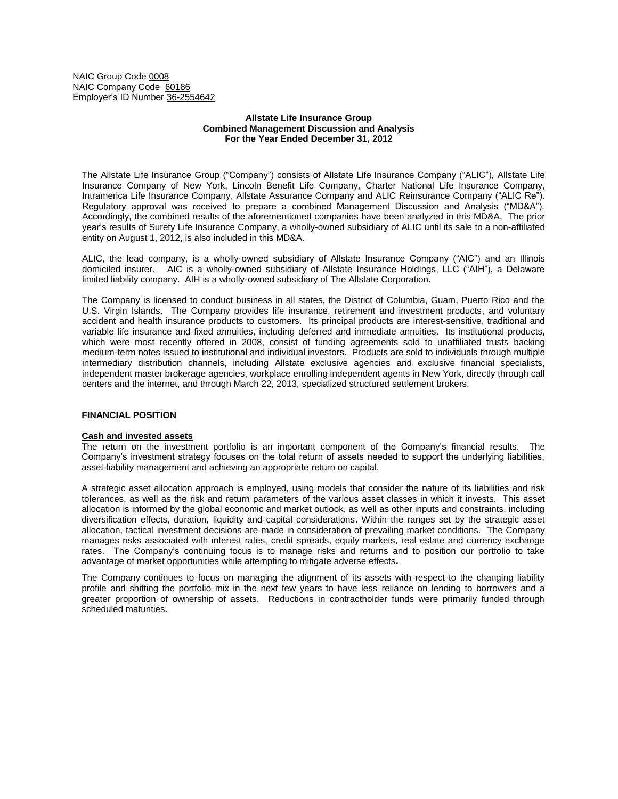NAIC Group Code 0008 NAIC Company Code 60186 Employer's ID Number 36-2554642

### **Allstate Life Insurance Group Combined Management Discussion and Analysis For the Year Ended December 31, 2012**

The Allstate Life Insurance Group ("Company") consists of Allstate Life Insurance Company ("ALIC"), Allstate Life Insurance Company of New York, Lincoln Benefit Life Company, Charter National Life Insurance Company, Intramerica Life Insurance Company, Allstate Assurance Company and ALIC Reinsurance Company ("ALIC Re"). Regulatory approval was received to prepare a combined Management Discussion and Analysis ("MD&A"). Accordingly, the combined results of the aforementioned companies have been analyzed in this MD&A. The prior year's results of Surety Life Insurance Company, a wholly-owned subsidiary of ALIC until its sale to a non-affiliated entity on August 1, 2012, is also included in this MD&A.

ALIC, the lead company, is a wholly-owned subsidiary of Allstate Insurance Company ("AIC") and an Illinois domiciled insurer. AIC is a wholly-owned subsidiary of Allstate Insurance Holdings, LLC ("AIH"), a Delaware limited liability company. AIH is a wholly-owned subsidiary of The Allstate Corporation.

The Company is licensed to conduct business in all states, the District of Columbia, Guam, Puerto Rico and the U.S. Virgin Islands. The Company provides life insurance, retirement and investment products, and voluntary accident and health insurance products to customers. Its principal products are interest-sensitive, traditional and variable life insurance and fixed annuities, including deferred and immediate annuities. Its institutional products, which were most recently offered in 2008, consist of funding agreements sold to unaffiliated trusts backing medium-term notes issued to institutional and individual investors. Products are sold to individuals through multiple intermediary distribution channels, including Allstate exclusive agencies and exclusive financial specialists, independent master brokerage agencies, workplace enrolling independent agents in New York, directly through call centers and the internet, and through March 22, 2013, specialized structured settlement brokers.

# **FINANCIAL POSITION**

#### **Cash and invested assets**

The return on the investment portfolio is an important component of the Company's financial results. The Company's investment strategy focuses on the total return of assets needed to support the underlying liabilities, asset-liability management and achieving an appropriate return on capital.

A strategic asset allocation approach is employed, using models that consider the nature of its liabilities and risk tolerances, as well as the risk and return parameters of the various asset classes in which it invests. This asset allocation is informed by the global economic and market outlook, as well as other inputs and constraints, including diversification effects, duration, liquidity and capital considerations. Within the ranges set by the strategic asset allocation, tactical investment decisions are made in consideration of prevailing market conditions. The Company manages risks associated with interest rates, credit spreads, equity markets, real estate and currency exchange rates. The Company's continuing focus is to manage risks and returns and to position our portfolio to take advantage of market opportunities while attempting to mitigate adverse effects**.**

The Company continues to focus on managing the alignment of its assets with respect to the changing liability profile and shifting the portfolio mix in the next few years to have less reliance on lending to borrowers and a greater proportion of ownership of assets. Reductions in contractholder funds were primarily funded through scheduled maturities.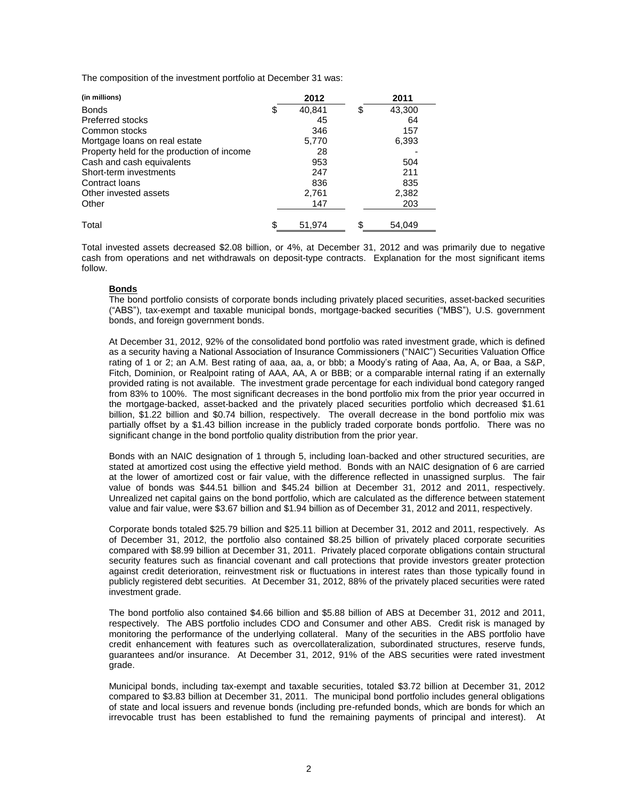The composition of the investment portfolio at December 31 was:

| (in millions)                              | 2012         |    | 2011   |
|--------------------------------------------|--------------|----|--------|
| <b>Bonds</b>                               | \$<br>40,841 | \$ | 43,300 |
| Preferred stocks                           | 45           |    | 64     |
| Common stocks                              | 346          |    | 157    |
| Mortgage loans on real estate              | 5,770        |    | 6,393  |
| Property held for the production of income | 28           |    |        |
| Cash and cash equivalents                  | 953          |    | 504    |
| Short-term investments                     | 247          |    | 211    |
| Contract Ioans                             | 836          |    | 835    |
| Other invested assets                      | 2,761        |    | 2,382  |
| Other                                      | 147          |    | 203    |
| Total                                      | \$<br>51,974 | S  | 54.049 |

Total invested assets decreased \$2.08 billion, or 4%, at December 31, 2012 and was primarily due to negative cash from operations and net withdrawals on deposit-type contracts. Explanation for the most significant items follow.

# **Bonds**

The bond portfolio consists of corporate bonds including privately placed securities, asset-backed securities ("ABS"), tax-exempt and taxable municipal bonds, mortgage-backed securities ("MBS"), U.S. government bonds, and foreign government bonds.

At December 31, 2012, 92% of the consolidated bond portfolio was rated investment grade, which is defined as a security having a National Association of Insurance Commissioners ("NAIC") Securities Valuation Office rating of 1 or 2; an A.M. Best rating of aaa, aa, a, or bbb; a Moody's rating of Aaa, Aa, A, or Baa, a S&P, Fitch, Dominion, or Realpoint rating of AAA, AA, A or BBB; or a comparable internal rating if an externally provided rating is not available. The investment grade percentage for each individual bond category ranged from 83% to 100%. The most significant decreases in the bond portfolio mix from the prior year occurred in the mortgage-backed, asset-backed and the privately placed securities portfolio which decreased \$1.61 billion, \$1.22 billion and \$0.74 billion, respectively. The overall decrease in the bond portfolio mix was partially offset by a \$1.43 billion increase in the publicly traded corporate bonds portfolio. There was no significant change in the bond portfolio quality distribution from the prior year.

Bonds with an NAIC designation of 1 through 5, including loan-backed and other structured securities, are stated at amortized cost using the effective yield method. Bonds with an NAIC designation of 6 are carried at the lower of amortized cost or fair value, with the difference reflected in unassigned surplus. The fair value of bonds was \$44.51 billion and \$45.24 billion at December 31, 2012 and 2011, respectively. Unrealized net capital gains on the bond portfolio, which are calculated as the difference between statement value and fair value, were \$3.67 billion and \$1.94 billion as of December 31, 2012 and 2011, respectively.

Corporate bonds totaled \$25.79 billion and \$25.11 billion at December 31, 2012 and 2011, respectively. As of December 31, 2012, the portfolio also contained \$8.25 billion of privately placed corporate securities compared with \$8.99 billion at December 31, 2011. Privately placed corporate obligations contain structural security features such as financial covenant and call protections that provide investors greater protection against credit deterioration, reinvestment risk or fluctuations in interest rates than those typically found in publicly registered debt securities. At December 31, 2012, 88% of the privately placed securities were rated investment grade.

The bond portfolio also contained \$4.66 billion and \$5.88 billion of ABS at December 31, 2012 and 2011, respectively. The ABS portfolio includes CDO and Consumer and other ABS. Credit risk is managed by monitoring the performance of the underlying collateral. Many of the securities in the ABS portfolio have credit enhancement with features such as overcollateralization, subordinated structures, reserve funds, guarantees and/or insurance. At December 31, 2012, 91% of the ABS securities were rated investment grade.

Municipal bonds, including tax-exempt and taxable securities, totaled \$3.72 billion at December 31, 2012 compared to \$3.83 billion at December 31, 2011. The municipal bond portfolio includes general obligations of state and local issuers and revenue bonds (including pre-refunded bonds, which are bonds for which an irrevocable trust has been established to fund the remaining payments of principal and interest). At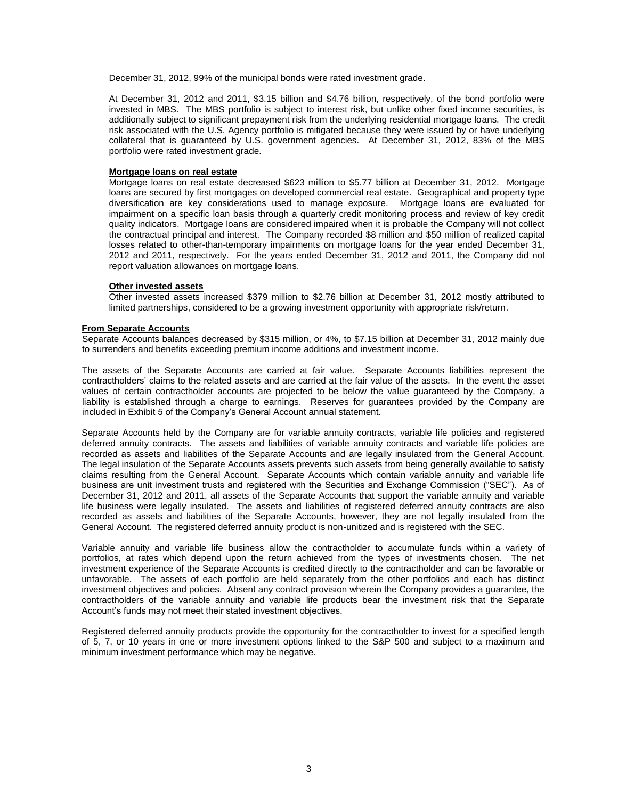December 31, 2012, 99% of the municipal bonds were rated investment grade.

At December 31, 2012 and 2011, \$3.15 billion and \$4.76 billion, respectively, of the bond portfolio were invested in MBS. The MBS portfolio is subject to interest risk, but unlike other fixed income securities, is additionally subject to significant prepayment risk from the underlying residential mortgage loans. The credit risk associated with the U.S. Agency portfolio is mitigated because they were issued by or have underlying collateral that is guaranteed by U.S. government agencies. At December 31, 2012, 83% of the MBS portfolio were rated investment grade.

### **Mortgage loans on real estate**

Mortgage loans on real estate decreased \$623 million to \$5.77 billion at December 31, 2012. Mortgage loans are secured by first mortgages on developed commercial real estate. Geographical and property type diversification are key considerations used to manage exposure. Mortgage loans are evaluated for impairment on a specific loan basis through a quarterly credit monitoring process and review of key credit quality indicators. Mortgage loans are considered impaired when it is probable the Company will not collect the contractual principal and interest. The Company recorded \$8 million and \$50 million of realized capital losses related to other-than-temporary impairments on mortgage loans for the year ended December 31, 2012 and 2011, respectively. For the years ended December 31, 2012 and 2011, the Company did not report valuation allowances on mortgage loans.

### **Other invested assets**

Other invested assets increased \$379 million to \$2.76 billion at December 31, 2012 mostly attributed to limited partnerships, considered to be a growing investment opportunity with appropriate risk/return.

# **From Separate Accounts**

Separate Accounts balances decreased by \$315 million, or 4%, to \$7.15 billion at December 31, 2012 mainly due to surrenders and benefits exceeding premium income additions and investment income.

The assets of the Separate Accounts are carried at fair value. Separate Accounts liabilities represent the contractholders' claims to the related assets and are carried at the fair value of the assets. In the event the asset values of certain contractholder accounts are projected to be below the value guaranteed by the Company, a liability is established through a charge to earnings. Reserves for guarantees provided by the Company are included in Exhibit 5 of the Company's General Account annual statement.

Separate Accounts held by the Company are for variable annuity contracts, variable life policies and registered deferred annuity contracts. The assets and liabilities of variable annuity contracts and variable life policies are recorded as assets and liabilities of the Separate Accounts and are legally insulated from the General Account. The legal insulation of the Separate Accounts assets prevents such assets from being generally available to satisfy claims resulting from the General Account. Separate Accounts which contain variable annuity and variable life business are unit investment trusts and registered with the Securities and Exchange Commission ("SEC"). As of December 31, 2012 and 2011, all assets of the Separate Accounts that support the variable annuity and variable life business were legally insulated. The assets and liabilities of registered deferred annuity contracts are also recorded as assets and liabilities of the Separate Accounts, however, they are not legally insulated from the General Account. The registered deferred annuity product is non-unitized and is registered with the SEC.

Variable annuity and variable life business allow the contractholder to accumulate funds within a variety of portfolios, at rates which depend upon the return achieved from the types of investments chosen. The net investment experience of the Separate Accounts is credited directly to the contractholder and can be favorable or unfavorable. The assets of each portfolio are held separately from the other portfolios and each has distinct investment objectives and policies. Absent any contract provision wherein the Company provides a guarantee, the contractholders of the variable annuity and variable life products bear the investment risk that the Separate Account's funds may not meet their stated investment objectives.

Registered deferred annuity products provide the opportunity for the contractholder to invest for a specified length of 5, 7, or 10 years in one or more investment options linked to the S&P 500 and subject to a maximum and minimum investment performance which may be negative.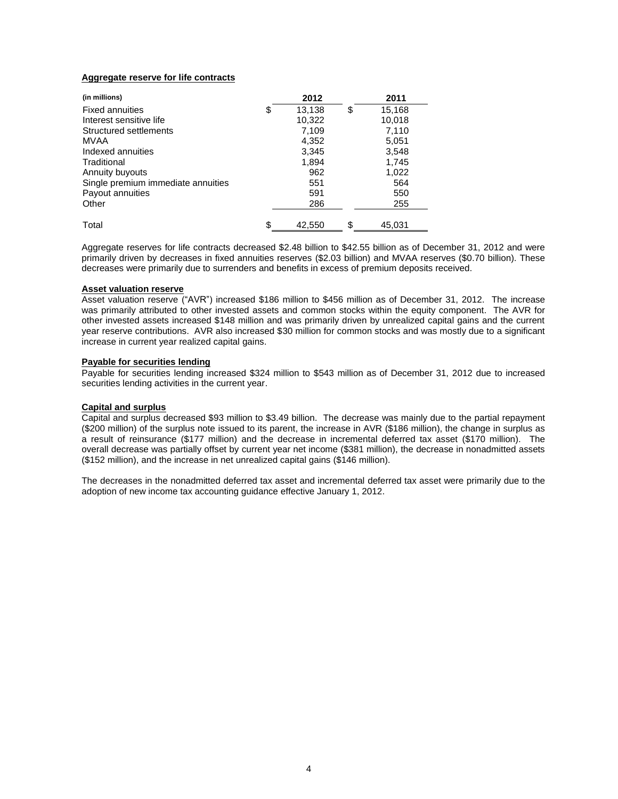# **Aggregate reserve for life contracts**

| (in millions)                      | 2012         |    | 2011   |
|------------------------------------|--------------|----|--------|
| <b>Fixed annuities</b>             | \$<br>13,138 | \$ | 15,168 |
| Interest sensitive life            | 10,322       |    | 10,018 |
| Structured settlements             | 7,109        |    | 7,110  |
| MVAA                               | 4,352        |    | 5,051  |
| Indexed annuities                  | 3,345        |    | 3,548  |
| Traditional                        | 1,894        |    | 1,745  |
| Annuity buyouts                    | 962          |    | 1,022  |
| Single premium immediate annuities | 551          |    | 564    |
| Payout annuities                   | 591          |    | 550    |
| Other                              | 286          |    | 255    |
| Total                              | \$<br>42,550 | S  | 45,031 |

Aggregate reserves for life contracts decreased \$2.48 billion to \$42.55 billion as of December 31, 2012 and were primarily driven by decreases in fixed annuities reserves (\$2.03 billion) and MVAA reserves (\$0.70 billion). These decreases were primarily due to surrenders and benefits in excess of premium deposits received.

# **Asset valuation reserve**

Asset valuation reserve ("AVR") increased \$186 million to \$456 million as of December 31, 2012. The increase was primarily attributed to other invested assets and common stocks within the equity component. The AVR for other invested assets increased \$148 million and was primarily driven by unrealized capital gains and the current year reserve contributions. AVR also increased \$30 million for common stocks and was mostly due to a significant increase in current year realized capital gains.

# **Payable for securities lending**

Payable for securities lending increased \$324 million to \$543 million as of December 31, 2012 due to increased securities lending activities in the current year.

# **Capital and surplus**

Capital and surplus decreased \$93 million to \$3.49 billion. The decrease was mainly due to the partial repayment (\$200 million) of the surplus note issued to its parent, the increase in AVR (\$186 million), the change in surplus as a result of reinsurance (\$177 million) and the decrease in incremental deferred tax asset (\$170 million). The overall decrease was partially offset by current year net income (\$381 million), the decrease in nonadmitted assets (\$152 million), and the increase in net unrealized capital gains (\$146 million).

The decreases in the nonadmitted deferred tax asset and incremental deferred tax asset were primarily due to the adoption of new income tax accounting guidance effective January 1, 2012.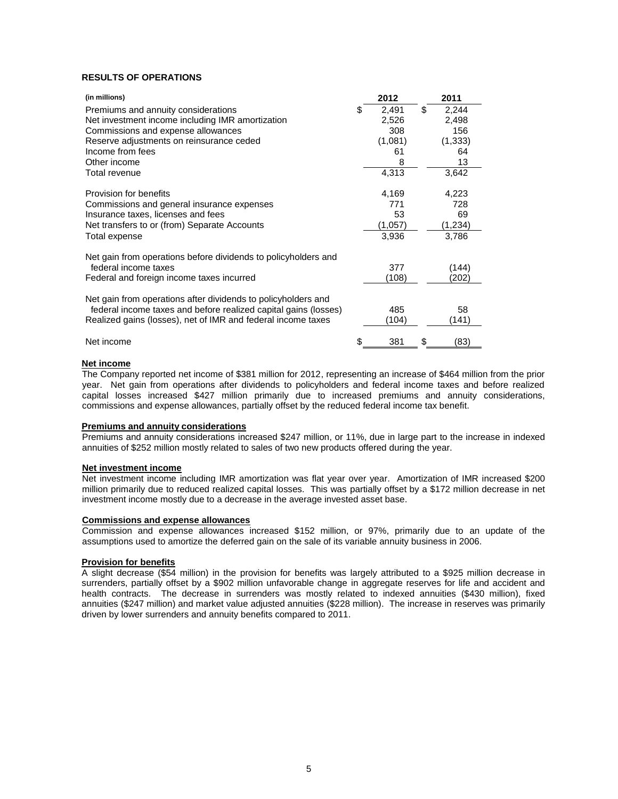# **RESULTS OF OPERATIONS**

| (in millions)                                                   | 2012        |    | 2011     |
|-----------------------------------------------------------------|-------------|----|----------|
| Premiums and annuity considerations                             | \$<br>2,491 | \$ | 2,244    |
| Net investment income including IMR amortization                | 2,526       |    | 2,498    |
| Commissions and expense allowances                              | 308         |    | 156      |
| Reserve adjustments on reinsurance ceded                        | (1,081)     |    | (1, 333) |
| Income from fees                                                | 61          |    | 64       |
| Other income                                                    | 8           |    | 13       |
| Total revenue                                                   | 4,313       |    | 3,642    |
| <b>Provision for benefits</b>                                   | 4,169       |    | 4,223    |
| Commissions and general insurance expenses                      | 771         |    | 728      |
| Insurance taxes, licenses and fees                              | 53          |    | 69       |
| Net transfers to or (from) Separate Accounts                    | (1.057)     |    | (1,234)  |
| Total expense                                                   | 3,936       |    | 3,786    |
| Net gain from operations before dividends to policyholders and  |             |    |          |
| federal income taxes                                            | 377         |    | (144)    |
| Federal and foreign income taxes incurred                       | (108)       |    | (202)    |
| Net gain from operations after dividends to policyholders and   |             |    |          |
| federal income taxes and before realized capital gains (losses) | 485         |    | 58       |
| Realized gains (losses), net of IMR and federal income taxes    | (104)       |    | (141)    |
| Net income                                                      | \$<br>381   | S  | (83)     |

### **Net income**

The Company reported net income of \$381 million for 2012, representing an increase of \$464 million from the prior year. Net gain from operations after dividends to policyholders and federal income taxes and before realized capital losses increased \$427 million primarily due to increased premiums and annuity considerations, commissions and expense allowances, partially offset by the reduced federal income tax benefit.

### **Premiums and annuity considerations**

Premiums and annuity considerations increased \$247 million, or 11%, due in large part to the increase in indexed annuities of \$252 million mostly related to sales of two new products offered during the year.

#### **Net investment income**

Net investment income including IMR amortization was flat year over year. Amortization of IMR increased \$200 million primarily due to reduced realized capital losses. This was partially offset by a \$172 million decrease in net investment income mostly due to a decrease in the average invested asset base.

# **Commissions and expense allowances**

Commission and expense allowances increased \$152 million, or 97%, primarily due to an update of the assumptions used to amortize the deferred gain on the sale of its variable annuity business in 2006.

#### **Provision for benefits**

A slight decrease (\$54 million) in the provision for benefits was largely attributed to a \$925 million decrease in surrenders, partially offset by a \$902 million unfavorable change in aggregate reserves for life and accident and health contracts. The decrease in surrenders was mostly related to indexed annuities (\$430 million), fixed annuities (\$247 million) and market value adjusted annuities (\$228 million). The increase in reserves was primarily driven by lower surrenders and annuity benefits compared to 2011.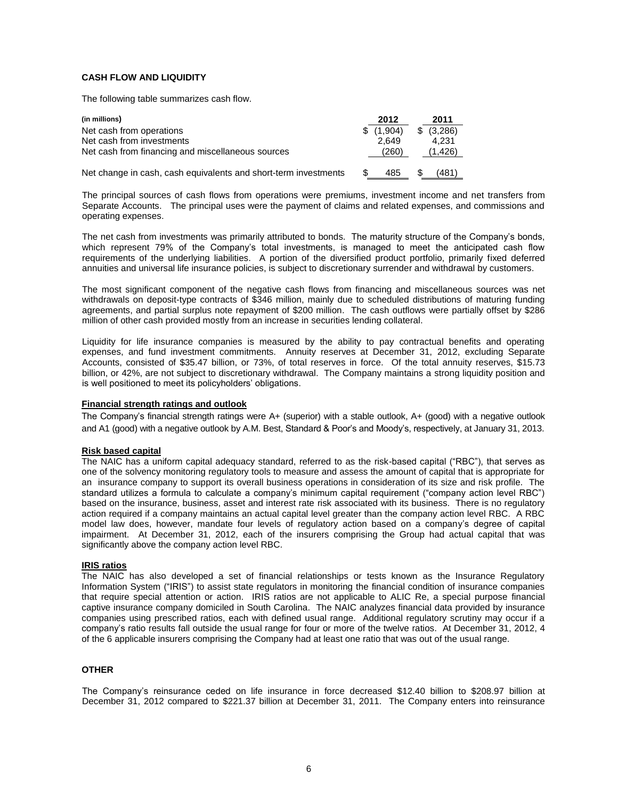# **CASH FLOW AND LIQUIDITY**

The following table summarizes cash flow.

| (in millions)                                                   | 2012      | 2011       |
|-----------------------------------------------------------------|-----------|------------|
| Net cash from operations                                        | \$(1.904) | \$ (3.286) |
| Net cash from investments                                       | 2.649     | 4.231      |
| Net cash from financing and miscellaneous sources               | (260)     | (1.426)    |
|                                                                 |           |            |
| Net change in cash, cash equivalents and short-term investments | 485       | (481)      |

The principal sources of cash flows from operations were premiums, investment income and net transfers from Separate Accounts. The principal uses were the payment of claims and related expenses, and commissions and operating expenses.

The net cash from investments was primarily attributed to bonds. The maturity structure of the Company's bonds, which represent 79% of the Company's total investments, is managed to meet the anticipated cash flow requirements of the underlying liabilities. A portion of the diversified product portfolio, primarily fixed deferred annuities and universal life insurance policies, is subject to discretionary surrender and withdrawal by customers.

The most significant component of the negative cash flows from financing and miscellaneous sources was net withdrawals on deposit-type contracts of \$346 million, mainly due to scheduled distributions of maturing funding agreements, and partial surplus note repayment of \$200 million. The cash outflows were partially offset by \$286 million of other cash provided mostly from an increase in securities lending collateral.

Liquidity for life insurance companies is measured by the ability to pay contractual benefits and operating expenses, and fund investment commitments. Annuity reserves at December 31, 2012, excluding Separate Accounts, consisted of \$35.47 billion, or 73%, of total reserves in force. Of the total annuity reserves, \$15.73 billion, or 42%, are not subject to discretionary withdrawal. The Company maintains a strong liquidity position and is well positioned to meet its policyholders' obligations.

# **Financial strength ratings and outlook**

The Company's financial strength ratings were A+ (superior) with a stable outlook, A+ (good) with a negative outlook and A1 (good) with a negative outlook by A.M. Best, Standard & Poor's and Moody's, respectively, at January 31, 2013.

# **Risk based capital**

The NAIC has a uniform capital adequacy standard, referred to as the risk-based capital ("RBC"), that serves as one of the solvency monitoring regulatory tools to measure and assess the amount of capital that is appropriate for an insurance company to support its overall business operations in consideration of its size and risk profile. The standard utilizes a formula to calculate a company's minimum capital requirement ("company action level RBC") based on the insurance, business, asset and interest rate risk associated with its business. There is no regulatory action required if a company maintains an actual capital level greater than the company action level RBC. A RBC model law does, however, mandate four levels of regulatory action based on a company's degree of capital impairment. At December 31, 2012, each of the insurers comprising the Group had actual capital that was significantly above the company action level RBC.

# **IRIS ratios**

The NAIC has also developed a set of financial relationships or tests known as the Insurance Regulatory Information System ("IRIS") to assist state regulators in monitoring the financial condition of insurance companies that require special attention or action. IRIS ratios are not applicable to ALIC Re, a special purpose financial captive insurance company domiciled in South Carolina. The NAIC analyzes financial data provided by insurance companies using prescribed ratios, each with defined usual range. Additional regulatory scrutiny may occur if a company's ratio results fall outside the usual range for four or more of the twelve ratios. At December 31, 2012, 4 of the 6 applicable insurers comprising the Company had at least one ratio that was out of the usual range.

### **OTHER**

The Company's reinsurance ceded on life insurance in force decreased \$12.40 billion to \$208.97 billion at December 31, 2012 compared to \$221.37 billion at December 31, 2011. The Company enters into reinsurance